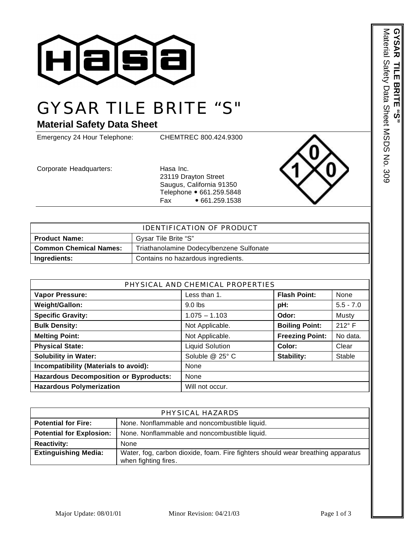

# GYSAR TILE BRITE "S"

## **Material Safety Data Sheet**

Emergency 24 Hour Telephone: CHEMTREC 800.424.9300

Corporate Headquarters: Hasa Inc.

23119 Drayton Street Saugus, California 91350 Telephone • 661.259.5848 Fax • 661.259.1538



| <b>IDENTIFICATION OF PRODUCT</b> |                                          |
|----------------------------------|------------------------------------------|
| <b>Product Name:</b>             | Gysar Tile Brite "S"                     |
| <b>Common Chemical Names:</b>    | Triathanolamine Dodecylbenzene Sulfonate |
| Ingredients:                     | Contains no hazardous ingredients.       |

| PHYSICAL AND CHEMICAL PROPERTIES              |                        |                        |               |  |
|-----------------------------------------------|------------------------|------------------------|---------------|--|
| <b>Vapor Pressure:</b>                        | Less than 1.           | <b>Flash Point:</b>    | None          |  |
| Weight/Gallon:                                | $9.0$ lbs              | pH:                    | $5.5 - 7.0$   |  |
| <b>Specific Gravity:</b>                      | $1.075 - 1.103$        | Odor:                  | Musty         |  |
| <b>Bulk Density:</b>                          | Not Applicable.        | <b>Boiling Point:</b>  | $212^\circ$ F |  |
| <b>Melting Point:</b>                         | Not Applicable.        | <b>Freezing Point:</b> | No data.      |  |
| <b>Physical State:</b>                        | <b>Liquid Solution</b> | Color:                 | Clear         |  |
| <b>Solubility in Water:</b>                   | Soluble @ 25° C        | Stability:             | Stable        |  |
| Incompatibility (Materials to avoid):         | None                   |                        |               |  |
| <b>Hazardous Decomposition or Byproducts:</b> | None                   |                        |               |  |
| <b>Hazardous Polymerization</b>               | Will not occur.        |                        |               |  |

| PHYSICAL HAZARDS                |                                                                                                         |
|---------------------------------|---------------------------------------------------------------------------------------------------------|
| <b>Potential for Fire:</b>      | None. Nonflammable and noncombustible liquid.                                                           |
| <b>Potential for Explosion:</b> | None. Nonflammable and noncombustible liquid.                                                           |
| <b>Reactivity:</b>              | None                                                                                                    |
| <b>Extinguishing Media:</b>     | Water, fog, carbon dioxide, foam. Fire fighters should wear breathing apparatus<br>when fighting fires. |

<u>ଜ</u>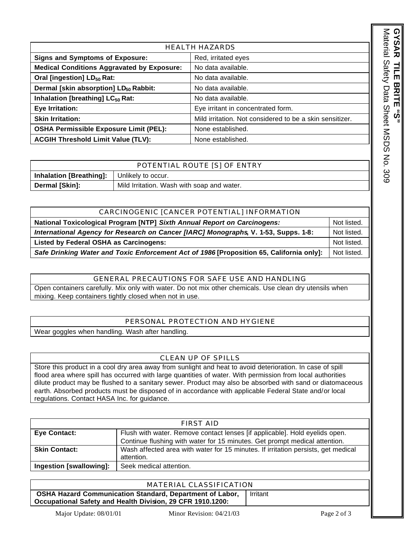| <b>HEALTH HAZARDS</b>                             |                                                          |  |
|---------------------------------------------------|----------------------------------------------------------|--|
| <b>Signs and Symptoms of Exposure:</b>            | Red, irritated eyes                                      |  |
| <b>Medical Conditions Aggravated by Exposure:</b> | No data available.                                       |  |
| Oral [ingestion] LD <sub>50</sub> Rat:            | No data available.                                       |  |
| Dermal [skin absorption] LD <sub>50</sub> Rabbit: | No data available.                                       |  |
| Inhalation [breathing] LC <sub>50</sub> Rat:      | No data available.                                       |  |
| Eye Irritation:                                   | Eye irritant in concentrated form.                       |  |
| <b>Skin Irritation:</b>                           | Mild irritation. Not considered to be a skin sensitizer. |  |
| <b>OSHA Permissible Exposure Limit (PEL):</b>     | None established.                                        |  |
| <b>ACGIH Threshold Limit Value (TLV):</b>         | None established.                                        |  |

| POTENTIAL ROUTE [S] OF ENTRY   |                                            |
|--------------------------------|--------------------------------------------|
| <b>Inhalation [Breathing]:</b> | Unlikely to occur.                         |
| Dermal [Skin]:                 | Mild Irritation. Wash with soap and water. |

| CARCINOGENIC [CANCER POTENTIAL] INFORMATION                                              |             |
|------------------------------------------------------------------------------------------|-------------|
| National Toxicological Program [NTP] Sixth Annual Report on Carcinogens:                 | Not listed. |
| International Agency for Research on Cancer [IARC] Monographs, V. 1-53, Supps. 1-8:      | Not listed. |
| Listed by Federal OSHA as Carcinogens:                                                   | Not listed. |
| Safe Drinking Water and Toxic Enforcement Act of 1986 [Proposition 65, California only]: | Not listed. |

### GENERAL PRECAUTIONS FOR SAFE USE AND HANDLING

Open containers carefully. Mix only with water. Do not mix other chemicals. Use clean dry utensils when mixing. Keep containers tightly closed when not in use.

#### PERSONAL PROTECTION AND HYGIENE

Wear goggles when handling. Wash after handling.

#### CLEAN UP OF SPILLS

Store this product in a cool dry area away from sunlight and heat to avoid deterioration. In case of spill flood area where spill has occurred with large quantities of water. With permission from local authorities dilute product may be flushed to a sanitary sewer. Product may also be absorbed with sand or diatomaceous earth. Absorbed products must be disposed of in accordance with applicable Federal State and/or local regulations. Contact HASA Inc. for guidance.

| Eye Contact:            | Flush with water. Remove contact lenses [if applicable]. Hold eyelids open.       |
|-------------------------|-----------------------------------------------------------------------------------|
|                         | Continue flushing with water for 15 minutes. Get prompt medical attention.        |
| <b>Skin Contact:</b>    | Wash affected area with water for 15 minutes. If irritation persists, get medical |
|                         | attention.                                                                        |
| Ingestion [swallowing]: | Seek medical attention.                                                           |

#### MATERIAL CLASSIFICATION

 **OSHA Hazard Communication Standard, Department of Labor, Occupational Safety and Health Division, 29 CFR 1910.1200:** Irritant Material Safety Data Sheet MSDS No. 309

Material Safety Data Sheet MSDS No. 309

**GYSAR TILE BRITE "S"**

**BRITE** 

ယ္ပံ

**TILE** 

YSAR